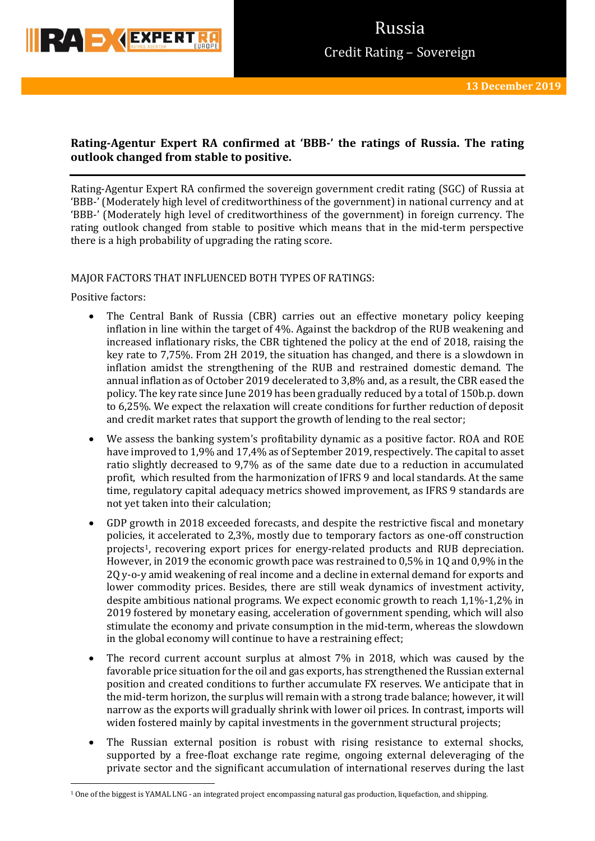

# Russia Credit Rating – Sovereign

## **Rating-Agentur Expert RA confirmed at 'BBB-' the ratings of Russia. The rating outlook changed from stable to positive.**

Rating-Agentur Expert RA confirmed the sovereign government credit rating (SGC) of Russia at 'BBB-' (Moderately high level of creditworthiness of the government) in national currency and at 'BBB-' (Moderately high level of creditworthiness of the government) in foreign currency. The rating outlook changed from stable to positive which means that in the mid-term perspective there is a high probability of upgrading the rating score.

## MAJOR FACTORS THAT INFLUENCED BOTH TYPES OF RATINGS:

Positive factors:

**.** 

- The Central Bank of Russia (CBR) carries out an effective monetary policy keeping inflation in line within the target of 4%. Against the backdrop of the RUB weakening and increased inflationary risks, the CBR tightened the policy at the end of 2018, raising the key rate to 7,75%. From 2H 2019, the situation has changed, and there is a slowdown in inflation amidst the strengthening of the RUB and restrained domestic demand. The annual inflation as of October 2019 decelerated to 3,8% and, as a result, the CBR eased the policy. The key rate since June 2019 has been gradually reduced by a total of 150b.p. down to 6,25%. We expect the relaxation will create conditions for further reduction of deposit and credit market rates that support the growth of lending to the real sector;
- We assess the banking system's profitability dynamic as a positive factor. ROA and ROE have improved to 1,9% and 17,4% as of September 2019, respectively. The capital to asset ratio slightly decreased to 9,7% as of the same date due to a reduction in accumulated profit, which resulted from the harmonization of IFRS 9 and local standards. At the same time, regulatory capital adequacy metrics showed improvement, as IFRS 9 standards are not yet taken into their calculation;
- GDP growth in 2018 exceeded forecasts, and despite the restrictive fiscal and monetary policies, it accelerated to 2,3%, mostly due to temporary factors as one-off construction projects1, recovering export prices for energy-related products and RUB depreciation. However, in 2019 the economic growth pace was restrained to 0,5% in 1Q and 0,9% in the 2Q y-o-y amid weakening of real income and a decline in external demand for exports and lower commodity prices. Besides, there are still weak dynamics of investment activity, despite ambitious national programs. We expect economic growth to reach 1,1%-1,2% in 2019 fostered by monetary easing, acceleration of government spending, which will also stimulate the economy and private consumption in the mid-term, whereas the slowdown in the global economy will continue to have a restraining effect;
- The record current account surplus at almost 7% in 2018, which was caused by the favorable price situation for the oil and gas exports, has strengthened the Russian external position and created conditions to further accumulate FX reserves. We anticipate that in the mid-term horizon, the surplus will remain with a strong trade balance; however, it will narrow as the exports will gradually shrink with lower oil prices. In contrast, imports will widen fostered mainly by capital investments in the government structural projects;
- The Russian external position is robust with rising resistance to external shocks, supported by a free-float exchange rate regime, ongoing external deleveraging of the private sector and the significant accumulation of international reserves during the last

<sup>1</sup> One of the biggest is YAMAL LNG - an integrated project encompassing natural gas production, liquefaction, and shipping.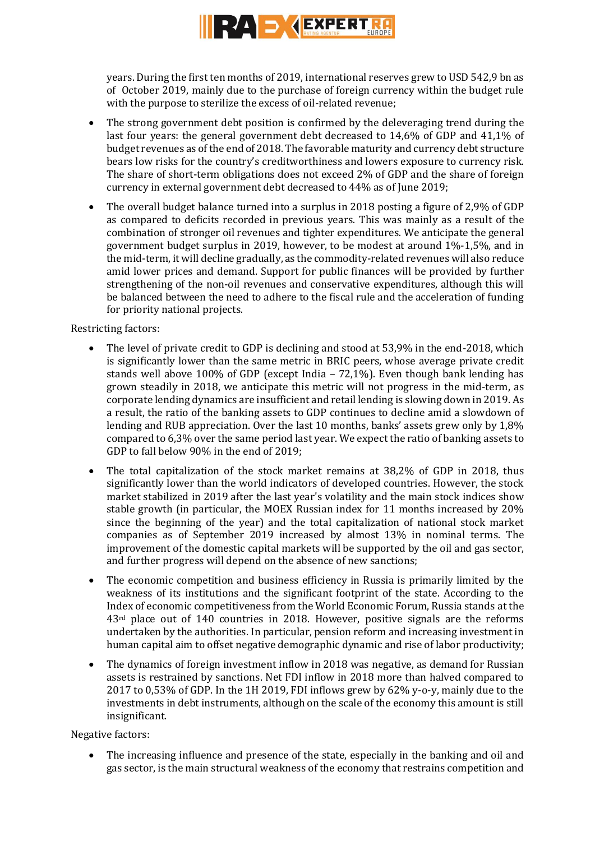

years. During the first ten months of 2019, international reserves grew to USD 542,9 bn as of October 2019, mainly due to the purchase of foreign currency within the budget rule with the purpose to sterilize the excess of oil-related revenue;

- The strong government debt position is confirmed by the deleveraging trend during the last four years: the general government debt decreased to 14,6% of GDP and 41,1% of budget revenues as ofthe end of 2018. The favorable maturity and currency debt structure bears low risks for the country's creditworthiness and lowers exposure to currency risk. The share of short-term obligations does not exceed 2% of GDP and the share of foreign currency in external government debt decreased to 44% as of June 2019;
- The overall budget balance turned into a surplus in 2018 posting a figure of 2,9% of GDP as compared to deficits recorded in previous years. This was mainly as a result of the combination of stronger oil revenues and tighter expenditures. We anticipate the general government budget surplus in 2019, however, to be modest at around 1%-1,5%, and in the mid-term, it will decline gradually, as the commodity-related revenues will also reduce amid lower prices and demand. Support for public finances will be provided by further strengthening of the non-oil revenues and conservative expenditures, although this will be balanced between the need to adhere to the fiscal rule and the acceleration of funding for priority national projects.

## Restricting factors:

- The level of private credit to GDP is declining and stood at 53,9% in the end-2018, which is significantly lower than the same metric in BRIC peers, whose average private credit stands well above 100% of GDP (except India – 72,1%). Even though bank lending has grown steadily in 2018, we anticipate this metric will not progress in the mid-term, as corporate lending dynamics are insufficient and retail lending is slowing down in 2019. As a result, the ratio of the banking assets to GDP continues to decline amid a slowdown of lending and RUB appreciation. Over the last 10 months, banks' assets grew only by 1,8% compared to 6,3% over the same period last year. We expect the ratio of banking assets to GDP to fall below 90% in the end of 2019;
- The total capitalization of the stock market remains at 38,2% of GDP in 2018, thus significantly lower than the world indicators of developed countries. However, the stock market stabilized in 2019 after the last year's volatility and the main stock indices show stable growth (in particular, the MOEX Russian index for 11 months increased by 20% since the beginning of the year) and the total capitalization of national stock market companies as of September 2019 increased by almost 13% in nominal terms. The improvement of the domestic capital markets will be supported by the oil and gas sector, and further progress will depend on the absence of new sanctions;
- The economic competition and business efficiency in Russia is primarily limited by the weakness of its institutions and the significant footprint of the state. According to the Index of economic competitiveness from the World Economic Forum, Russia stands at the  $43<sup>rd</sup>$  place out of 140 countries in 2018. However, positive signals are the reforms undertaken by the authorities. In particular, pension reform and increasing investment in human capital aim to offset negative demographic dynamic and rise of labor productivity;
- The dynamics of foreign investment inflow in 2018 was negative, as demand for Russian assets is restrained by sanctions. Net FDI inflow in 2018 more than halved compared to 2017 to 0,53% of GDP. In the 1H 2019, FDI inflows grew by 62% y-o-y, mainly due to the investments in debt instruments, although on the scale of the economy this amount is still insignificant.

## Negative factors:

 The increasing influence and presence of the state, especially in the banking and oil and gas sector, is the main structural weakness of the economy that restrains competition and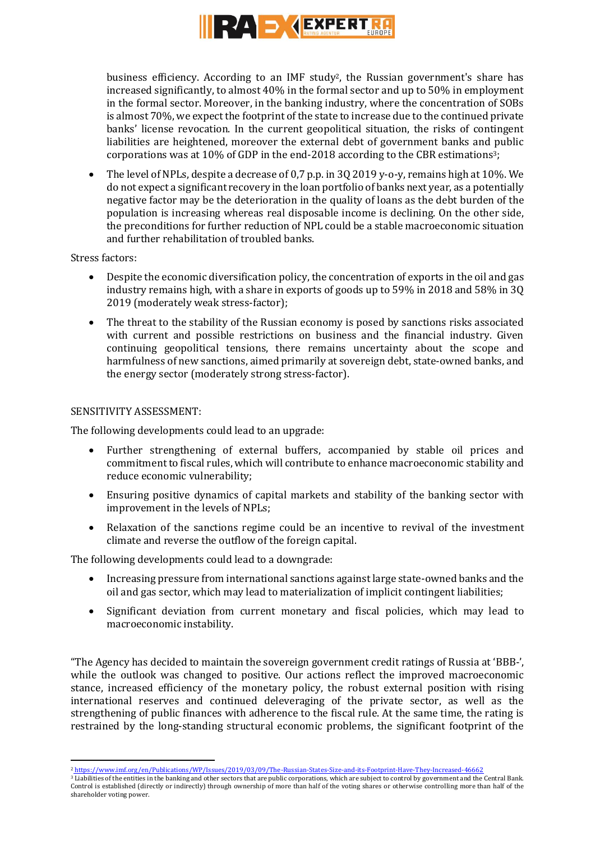

business efficiency. According to an IMF study2, the Russian government's share has increased significantly, to almost 40% in the formal sector and up to 50% in employment in the formal sector. Moreover, in the banking industry, where the concentration of SOBs is almost 70%, we expect the footprint of the state to increase due to the continued private banks' license revocation. In the current geopolitical situation, the risks of contingent liabilities are heightened, moreover the external debt of government banks and public corporations was at 10% of GDP in the end-2018 according to the CBR estimations3;

 The level of NPLs, despite a decrease of 0,7 p.p. in 3Q 2019 y-o-y, remains high at 10%. We do not expect a significant recovery in the loan portfolio of banks next year, as a potentially negative factor may be the deterioration in the quality of loans as the debt burden of the population is increasing whereas real disposable income is declining. On the other side, the preconditions for further reduction of NPL could be a stable macroeconomic situation and further rehabilitation of troubled banks.

Stress factors:

- Despite the economic diversification policy, the concentration of exports in the oil and gas industry remains high, with a share in exports of goods up to 59% in 2018 and 58% in 3Q 2019 (moderately weak stress-factor);
- The threat to the stability of the Russian economy is posed by sanctions risks associated with current and possible restrictions on business and the financial industry. Given continuing geopolitical tensions, there remains uncertainty about the scope and harmfulness of new sanctions, aimed primarily at sovereign debt, state-owned banks, and the energy sector (moderately strong stress-factor).

### SENSITIVITY ASSESSMENT:

The following developments could lead to an upgrade:

- Further strengthening of external buffers, accompanied by stable oil prices and commitment to fiscal rules, which will contribute to enhance macroeconomic stability and reduce economic vulnerability;
- Ensuring positive dynamics of capital markets and stability of the banking sector with improvement in the levels of NPLs;
- Relaxation of the sanctions regime could be an incentive to revival of the investment climate and reverse the outflow of the foreign capital.

The following developments could lead to a downgrade:

- Increasing pressure from international sanctions against large state-owned banks and the oil and gas sector, which may lead to materialization of implicit contingent liabilities;
- Significant deviation from current monetary and fiscal policies, which may lead to macroeconomic instability.

"The Agency has decided to maintain the sovereign government credit ratings of Russia at 'BBB-', while the outlook was changed to positive. Our actions reflect the improved macroeconomic stance, increased efficiency of the monetary policy, the robust external position with rising international reserves and continued deleveraging of the private sector, as well as the strengthening of public finances with adherence to the fiscal rule. At the same time, the rating is restrained by the long-standing structural economic problems, the significant footprint of the

<sup>1</sup> <sup>2</sup> <https://www.imf.org/en/Publications/WP/Issues/2019/03/09/The-Russian-States-Size-and-its-Footprint-Have-They-Increased-46662>

<sup>&</sup>lt;sup>3</sup> Liabilities of the entities in the banking and other sectors that are public corporations, which are subject to control by government and the Central Bank. Control is established (directly or indirectly) through ownership of more than half of the voting shares or otherwise controlling more than half of the shareholder voting power.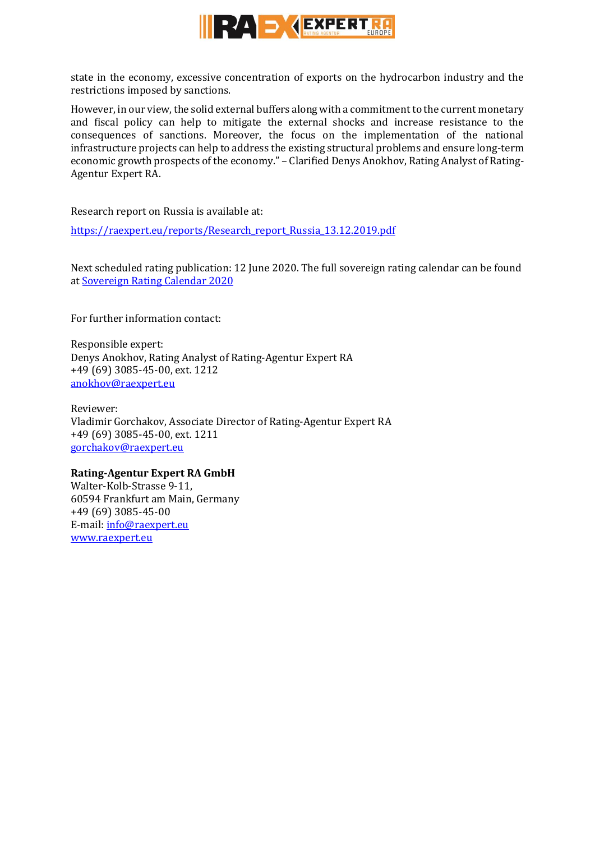

state in the economy, excessive concentration of exports on the hydrocarbon industry and the restrictions imposed by sanctions.

However, in our view, the solid external buffers along with a commitment to the current monetary and fiscal policy can help to mitigate the external shocks and increase resistance to the consequences of sanctions. Moreover, the focus on the implementation of the national infrastructure projects can help to address the existing structural problems and ensure long-term economic growth prospects of the economy." – Clarified Denys Anokhov, Rating Analyst of Rating-Agentur Expert RA.

Research report on Russia is available at:

[https://raexpert.eu/reports/Research\\_report\\_Russia\\_13.12.2019.pdf](https://raexpert.eu/reports/Research_report_Russia_13.12.2019.pdf)

Next scheduled rating publication: 12 June 2020. The full sovereign rating calendar can be found at [Sovereign Rating Calendar 2020](https://raexpert.eu/sovereign/#conf-tab-5)

For further information contact:

Responsible expert: Denys Anokhov, Rating Analyst of Rating-Agentur Expert RA +49 (69) 3085-45-00, ext. 1212 [anokhov@raexpert.eu](mailto:anokhov@raexpert.eu)

Reviewer: Vladimir Gorchakov, Associate Director of Rating-Agentur Expert RA +49 (69) 3085-45-00, ext. 1211 [gorchakov@raexpert.eu](mailto:gorchakov@raexpert.eu)

## **Rating-Agentur Expert RA GmbH**

Walter-Kolb-Strasse 9-11, 60594 Frankfurt am Main, Germany +49 (69) 3085-45-00 E-mail[: info@raexpert.eu](mailto:info@raexpert.eu) [www.raexpert.eu](http://raexpert.eu/)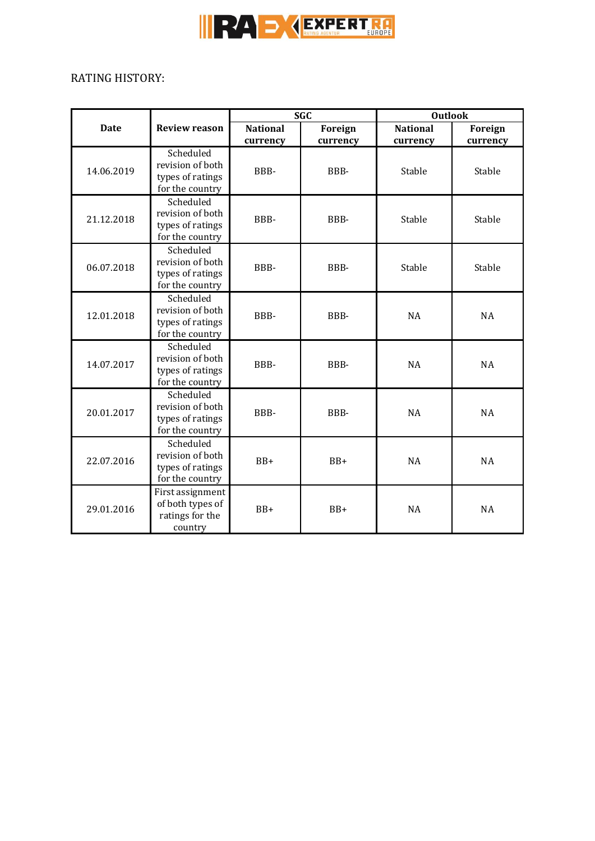

## RATING HISTORY:

|             |                                                                      | <b>SGC</b>                  |                     | <b>Outlook</b>              |                            |
|-------------|----------------------------------------------------------------------|-----------------------------|---------------------|-----------------------------|----------------------------|
| <b>Date</b> | <b>Review reason</b>                                                 | <b>National</b><br>currency | Foreign<br>currency | <b>National</b><br>currency | <b>Foreign</b><br>currency |
| 14.06.2019  | Scheduled<br>revision of both<br>types of ratings<br>for the country | BBB-                        | BBB-                | Stable                      | Stable                     |
| 21.12.2018  | Scheduled<br>revision of both<br>types of ratings<br>for the country | BBB-                        | BBB-                | Stable                      | Stable                     |
| 06.07.2018  | Scheduled<br>revision of both<br>types of ratings<br>for the country | BBB-                        | BBB-                | Stable                      | Stable                     |
| 12.01.2018  | Scheduled<br>revision of both<br>types of ratings<br>for the country | BBB-                        | BBB-                | <b>NA</b>                   | <b>NA</b>                  |
| 14.07.2017  | Scheduled<br>revision of both<br>types of ratings<br>for the country | BBB-                        | BBB-                | <b>NA</b>                   | <b>NA</b>                  |
| 20.01.2017  | Scheduled<br>revision of both<br>types of ratings<br>for the country | BBB-                        | BBB-                | <b>NA</b>                   | <b>NA</b>                  |
| 22.07.2016  | Scheduled<br>revision of both<br>types of ratings<br>for the country | $BB+$                       | $BB+$               | <b>NA</b>                   | <b>NA</b>                  |
| 29.01.2016  | First assignment<br>of both types of<br>ratings for the<br>country   | $BB+$                       | $BB+$               | <b>NA</b>                   | <b>NA</b>                  |